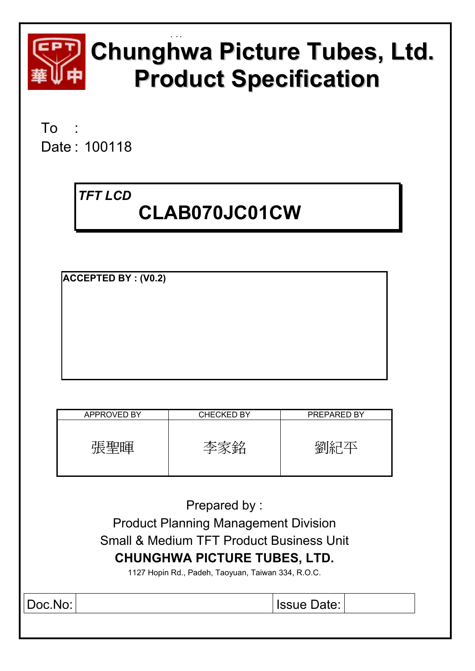

# **Chunghwa Picture Tubes, Ltd. Product Specification**

To : Date : 100118

# *TFT LCD*   **CLAB070JC01CW**

**ACCEPTED BY : (V0.2)**

| <b>APPROVED BY</b> | <b>CHECKED BY</b> | PREPARED BY |
|--------------------|-------------------|-------------|
|                    | ≃                 |             |

| Prepared by:                                        |  |  |  |  |  |
|-----------------------------------------------------|--|--|--|--|--|
| <b>Product Planning Management Division</b>         |  |  |  |  |  |
| <b>Small &amp; Medium TFT Product Business Unit</b> |  |  |  |  |  |
| <b>CHUNGHWA PICTURE TUBES, LTD.</b>                 |  |  |  |  |  |
| 1127 Hopin Rd., Padeh, Taoyuan, Taiwan 334, R.O.C.  |  |  |  |  |  |
| Doc.No:<br><b>Issue Date:</b>                       |  |  |  |  |  |
|                                                     |  |  |  |  |  |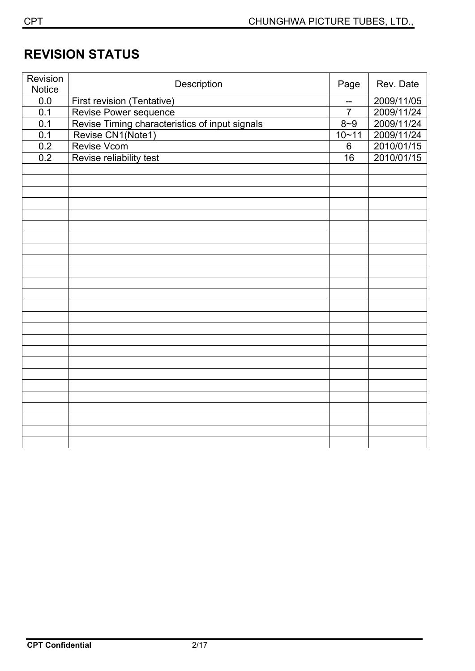# **REVISION STATUS**

| Revision<br><b>Notice</b> | Description                                    | Page           | Rev. Date  |
|---------------------------|------------------------------------------------|----------------|------------|
| 0.0                       | First revision (Tentative)                     | --             | 2009/11/05 |
| 0.1                       | Revise Power sequence                          | $\overline{7}$ | 2009/11/24 |
| 0.1                       | Revise Timing characteristics of input signals | $8 - 9$        | 2009/11/24 |
| 0.1                       | Revise CN1(Note1)                              | $10 - 11$      | 2009/11/24 |
| 0.2                       | <b>Revise Vcom</b>                             | $6\phantom{1}$ | 2010/01/15 |
| 0.2                       | Revise reliability test                        | 16             | 2010/01/15 |
|                           |                                                |                |            |
|                           |                                                |                |            |
|                           |                                                |                |            |
|                           |                                                |                |            |
|                           |                                                |                |            |
|                           |                                                |                |            |
|                           |                                                |                |            |
|                           |                                                |                |            |
|                           |                                                |                |            |
|                           |                                                |                |            |
|                           |                                                |                |            |
|                           |                                                |                |            |
|                           |                                                |                |            |
|                           |                                                |                |            |
|                           |                                                |                |            |
|                           |                                                |                |            |
|                           |                                                |                |            |
|                           |                                                |                |            |
|                           |                                                |                |            |
|                           |                                                |                |            |
|                           |                                                |                |            |
|                           |                                                |                |            |
|                           |                                                |                |            |
|                           |                                                |                |            |
|                           |                                                |                |            |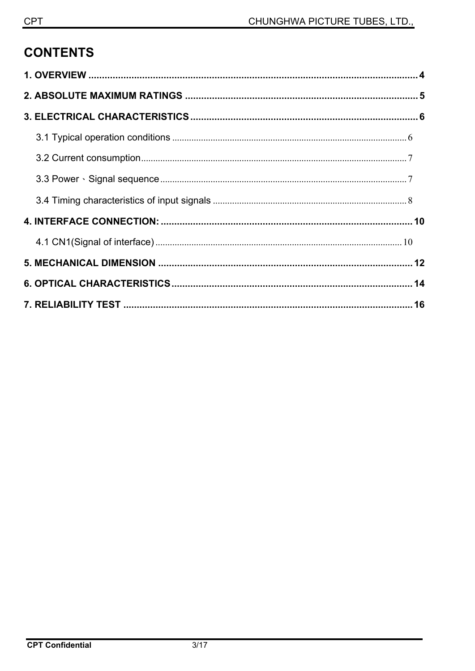# **CONTENTS**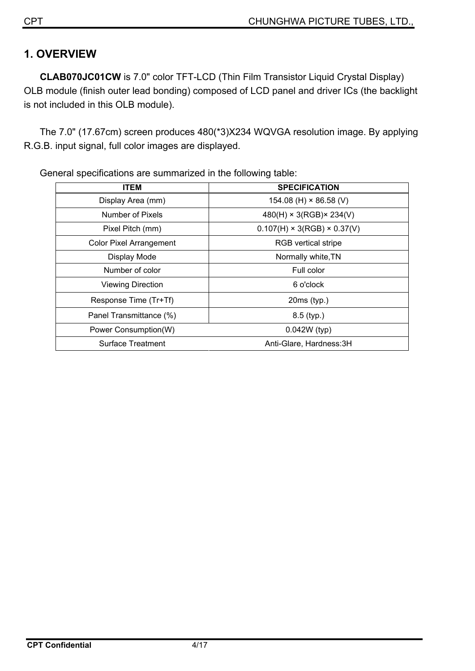# **1. OVERVIEW**

**CLAB070JC01CW** is 7.0" color TFT-LCD (Thin Film Transistor Liquid Crystal Display) OLB module (finish outer lead bonding) composed of LCD panel and driver ICs (the backlight is not included in this OLB module).

The 7.0" (17.67cm) screen produces 480(\*3)X234 WQVGA resolution image. By applying R.G.B. input signal, full color images are displayed.

| <b>ITEM</b>                    | <b>SPECIFICATION</b>                    |
|--------------------------------|-----------------------------------------|
| Display Area (mm)              | 154.08 (H) $\times$ 86.58 (V)           |
| Number of Pixels               | $480(H) \times 3(RGB) \times 234(V)$    |
| Pixel Pitch (mm)               | $0.107(H) \times 3(RGB) \times 0.37(V)$ |
| <b>Color Pixel Arrangement</b> | RGB vertical stripe                     |
| Display Mode                   | Normally white, TN                      |
| Number of color                | Full color                              |
| <b>Viewing Direction</b>       | 6 o'clock                               |
| Response Time (Tr+Tf)          | $20ms$ (typ.)                           |
| Panel Transmittance (%)        | $8.5$ (typ.)                            |
| Power Consumption(W)           | 0.042W (typ)                            |
| <b>Surface Treatment</b>       | Anti-Glare, Hardness: 3H                |

General specifications are summarized in the following table: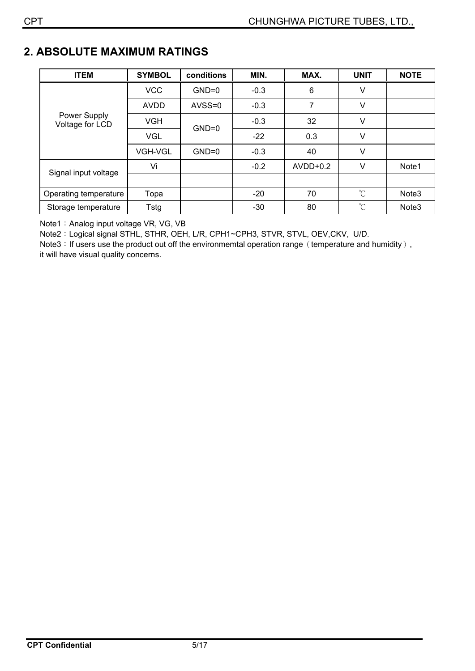# **2. ABSOLUTE MAXIMUM RATINGS**

| <b>ITEM</b>                     | <b>SYMBOL</b>  | conditions | MIN.   | MAX.       | <b>UNIT</b> | <b>NOTE</b>       |
|---------------------------------|----------------|------------|--------|------------|-------------|-------------------|
|                                 | <b>VCC</b>     | $GND=0$    | $-0.3$ | 6          | V           |                   |
|                                 | <b>AVDD</b>    | AVSS=0     | $-0.3$ | 7          | V           |                   |
| Power Supply<br>Voltage for LCD | <b>VGH</b>     | $GND=0$    | $-0.3$ | 32         | V           |                   |
|                                 | <b>VGL</b>     |            | $-22$  | 0.3        | V           |                   |
|                                 | <b>VGH-VGL</b> | $GND=0$    | $-0.3$ | 40         | V           |                   |
| Signal input voltage            | Vi             |            | $-0.2$ | $AVDD+0.2$ | $\vee$      | Note1             |
|                                 |                |            |        |            |             |                   |
| Operating temperature           | Topa           |            | $-20$  | 70         | $^{\circ}C$ | Note <sub>3</sub> |
| Storage temperature             | Tstg           |            | $-30$  | 80         | $^{\circ}C$ | Note <sub>3</sub> |

Note1: Analog input voltage VR, VG, VB

Note2: Logical signal STHL, STHR, OEH, L/R, CPH1~CPH3, STVR, STVL, OEV, CKV, U/D.

Note3: If users use the product out off the environmemtal operation range (temperature and humidity), it will have visual quality concerns.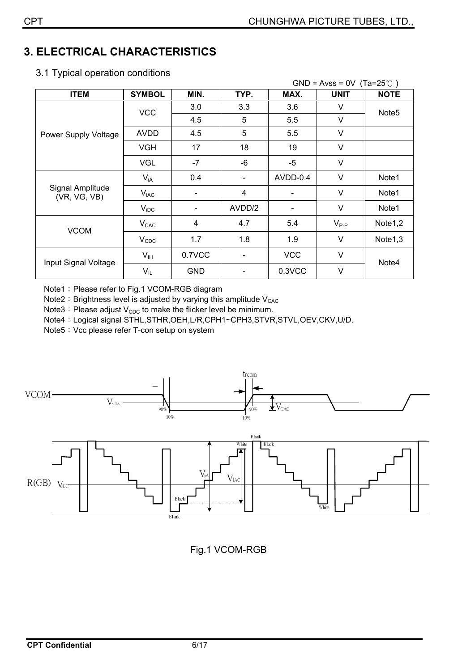# **3. ELECTRICAL CHARACTERISTICS**

|  |  |  | 3.1 Typical operation conditions |
|--|--|--|----------------------------------|
|--|--|--|----------------------------------|

|                                  |                  |                          |        |                          | $GND = Avss = 0V$ (Ta=25°C) |                   |
|----------------------------------|------------------|--------------------------|--------|--------------------------|-----------------------------|-------------------|
| <b>ITEM</b>                      | <b>SYMBOL</b>    | MIN.                     | TYP.   | MAX.                     | <b>UNIT</b>                 | <b>NOTE</b>       |
|                                  | <b>VCC</b>       | 3.0                      | 3.3    | 3.6                      | V                           | Note <sub>5</sub> |
|                                  |                  | 4.5                      | 5      | 5.5                      | V                           |                   |
| Power Supply Voltage             | <b>AVDD</b>      | 4.5                      | 5      | 5.5                      | V                           |                   |
|                                  | <b>VGH</b>       | 17                       | 18     | 19                       | V                           |                   |
|                                  | <b>VGL</b>       | $-7$                     | -6     | $-5$                     | V                           |                   |
| Signal Amplitude<br>(VR, VG, VB) | $V_{iA}$         | 0.4                      |        | AVDD-0.4                 | V                           | Note1             |
|                                  | $V_{iAC}$        |                          | 4      |                          | $\vee$                      | Note1             |
|                                  | $V_{\text{IDC}}$ | $\overline{\phantom{a}}$ | AVDD/2 | $\overline{\phantom{a}}$ | V                           | Note1             |
| <b>VCOM</b>                      | V <sub>CAC</sub> | 4                        | 4.7    | 5.4                      | $V_{P-P}$                   | Note1,2           |
|                                  | $V_{CDC}$        | 1.7                      | 1.8    | 1.9                      | V                           | Note1,3           |
|                                  | $V_{\text{IH}}$  | 0.7VCC                   |        | <b>VCC</b>               | V                           |                   |
| Input Signal Voltage             | $V_{IL}$         | <b>GND</b>               |        | 0.3VCC                   | $\vee$                      | Note4             |

Note1: Please refer to Fig.1 VCOM-RGB diagram

Note2: Brightness level is adjusted by varying this amplitude  $V_{CAC}$ 

Note3: Please adjust  $V_{CDC}$  to make the flicker level be minimum.

Note4: Logical signal STHL,STHR,OEH,L/R,CPH1~CPH3,STVR,STVL,OEV,CKV,U/D.

Note5: Vcc please refer T-con setup on system



Fig.1 VCOM-RGB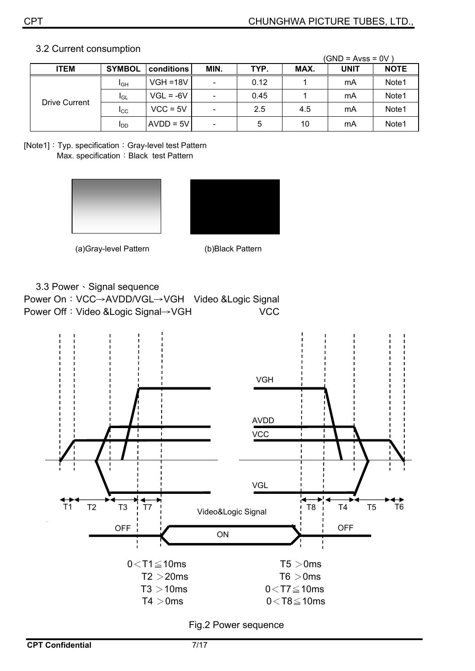|               |                        |             |                          |      |      | $(GND = Avss = 0V)$ |             |
|---------------|------------------------|-------------|--------------------------|------|------|---------------------|-------------|
| <b>ITEM</b>   | <b>SYMBOL</b>          | conditions  | MIN.                     | TYP. | MAX. | <b>UNIT</b>         | <b>NOTE</b> |
| Drive Current | <b>I</b> GH            | $VGH = 18V$ | $\overline{\phantom{a}}$ | 0.12 |      | mA                  | Note1       |
|               | <b>I</b> GL            | $VGL = -6V$ | $\overline{\phantom{a}}$ | 0.45 |      | mA                  | Note1       |
|               | $_{\rm{LCC}}$          | $VCC = 5V$  | $\overline{\phantom{a}}$ | 2.5  | 4.5  | mA                  | Note1       |
|               | <b>I</b> <sub>DD</sub> | $AVDD = 5V$ | $\overline{\phantom{a}}$ | 5    | 10   | mA                  | Note1       |

#### 3.2 Current consumption

[Note1]: Typ. specification: Gray-level test Pattern Max. specification: Black test Pattern



ʳʳʳʳʳʳʳʳʳʳʳʳʳʳʳʳʳʳʳʳʳʳʳʳʳ(a)Gray-level Pattern (b)Black Pattern

3.3 Power · Signal sequence

Power On: VCC→AVDD/VGL→VGH Video &Logic Signal Power Off: Video &Logic Signal→VGH VCC



Fig.2 Power sequence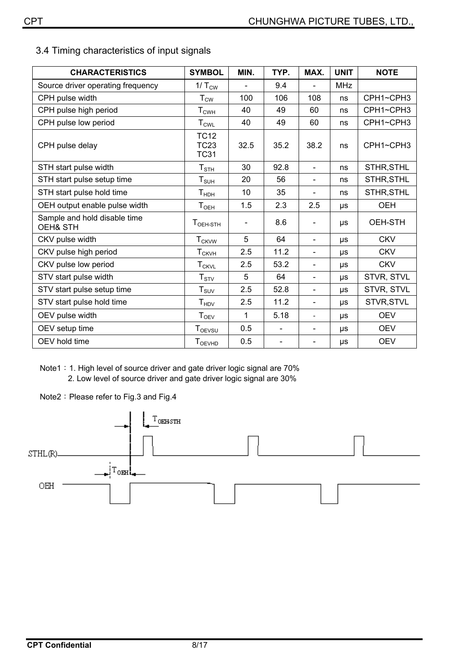3.4 Timing characteristics of input signals

| <b>CHARACTERISTICS</b>                   | <b>SYMBOL</b>                             | MIN.                         | TYP.                         | MAX.                     | <b>UNIT</b> | <b>NOTE</b> |
|------------------------------------------|-------------------------------------------|------------------------------|------------------------------|--------------------------|-------------|-------------|
| Source driver operating frequency        | $1/T_{\text{CW}}$                         |                              | 9.4                          |                          | <b>MHz</b>  |             |
| CPH pulse width                          | $T_{\text{CW}}$                           | 100                          | 106                          | 108                      | ns          | CPH1~CPH3   |
| CPH pulse high period                    | $T_{CWH}$                                 | 40                           | 49                           | 60                       | ns          | CPH1~CPH3   |
| CPH pulse low period                     | $T_{CWL}$                                 | 40                           | 49                           | 60                       | ns          | CPH1~CPH3   |
| CPH pulse delay                          | <b>TC12</b><br><b>TC23</b><br><b>TC31</b> | 32.5                         | 35.2                         | 38.2                     | ns          | CPH1~CPH3   |
| STH start pulse width                    | $T_{\footnotesize\rm STH}$                | 30                           | 92.8                         | $\blacksquare$           | ns          | STHR, STHL  |
| STH start pulse setup time               | $T_{\scriptstyle\text{SUH}}$              | 20                           | 56                           | $\sim$                   | ns          | STHR, STHL  |
| STH start pulse hold time                | T <sub>HDH</sub>                          | 10                           | 35                           | $\overline{\phantom{a}}$ | ns          | STHR, STHL  |
| OEH output enable pulse width            | $T_{\sf OEH}$                             | 1.5                          | 2.3                          | 2.5                      | μs          | <b>OEH</b>  |
| Sample and hold disable time<br>OEH& STH | $TOEH-STH$                                | $\qquad \qquad \blacksquare$ | 8.6                          | $\overline{\phantom{a}}$ | μs          | OEH-STH     |
| CKV pulse width                          | <b>T<sub>CKVW</sub></b>                   | 5                            | 64                           | $\overline{\phantom{a}}$ | $\mu s$     | <b>CKV</b>  |
| CKV pulse high period                    | <b>T</b> <sub>CKVH</sub>                  | 2.5                          | 11.2                         | $\overline{\phantom{0}}$ | μs          | <b>CKV</b>  |
| CKV pulse low period                     | <b>T<sub>CKVL</sub></b>                   | 2.5                          | 53.2                         | $\blacksquare$           | μs          | <b>CKV</b>  |
| STV start pulse width                    | $T_{STV}$                                 | 5                            | 64                           | $\overline{\phantom{a}}$ | μs          | STVR, STVL  |
| STV start pulse setup time               | $T_{\scriptstyle\text{SUV}}$              | 2.5                          | 52.8                         | -                        | μs          | STVR, STVL  |
| STV start pulse hold time                | T <sub>HDV</sub>                          | 2.5                          | 11.2                         | $\blacksquare$           | μs          | STVR, STVL  |
| OEV pulse width                          | T <sub>OEV</sub>                          | 1                            | 5.18                         | $\overline{\phantom{0}}$ | μs          | <b>OEV</b>  |
| OEV setup time                           | $T_{OEVSU}$                               | 0.5                          | $\qquad \qquad \blacksquare$ | $\blacksquare$           | μs          | <b>OEV</b>  |
| OEV hold time                            | <b>T</b> OEVHD                            | 0.5                          |                              |                          | μs          | <b>OEV</b>  |

Note1: 1. High level of source driver and gate driver logic signal are 70%

2. Low level of source driver and gate driver logic signal are 30%

Note2: Please refer to Fig.3 and Fig.4

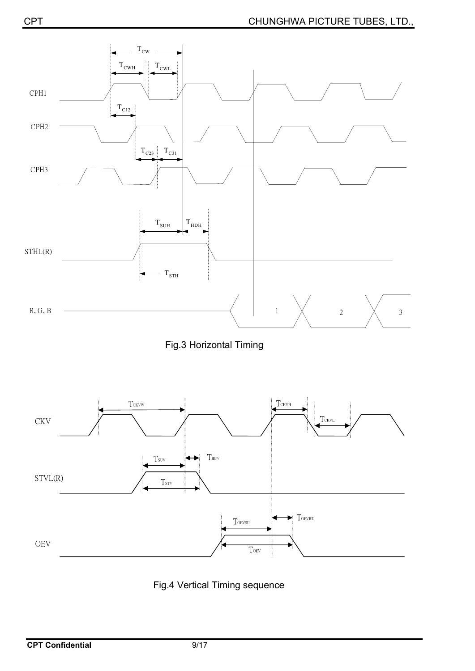

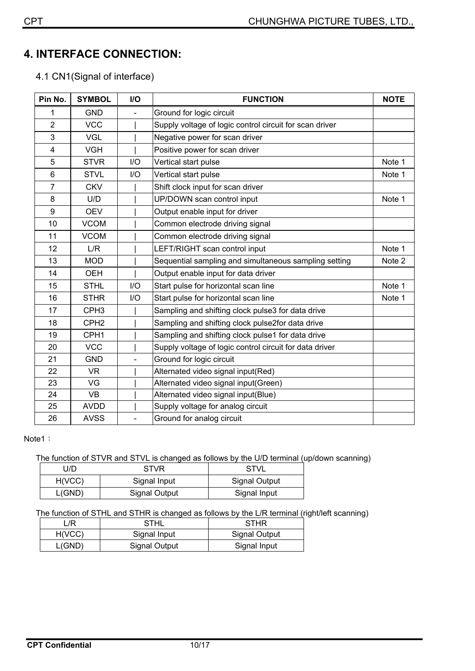# **4.**ʳ**INTERFACE CONNECTION:**

4.1 CN1(Signal of interface)

| Pin No.        | <b>SYMBOL</b>    | I/O | <b>FUNCTION</b>                                         | <b>NOTE</b> |
|----------------|------------------|-----|---------------------------------------------------------|-------------|
| 1              | <b>GND</b>       |     | Ground for logic circuit                                |             |
| $\overline{2}$ | <b>VCC</b>       |     | Supply voltage of logic control circuit for scan driver |             |
| 3              | <b>VGL</b>       |     | Negative power for scan driver                          |             |
| $\overline{4}$ | <b>VGH</b>       |     | Positive power for scan driver                          |             |
| 5              | <b>STVR</b>      | I/O | Vertical start pulse                                    | Note 1      |
| 6              | <b>STVL</b>      | I/O | Vertical start pulse                                    | Note 1      |
| $\overline{7}$ | <b>CKV</b>       |     | Shift clock input for scan driver                       |             |
| 8              | U/D              |     | UP/DOWN scan control input                              | Note 1      |
| 9              | <b>OEV</b>       |     | Output enable input for driver                          |             |
| 10             | <b>VCOM</b>      |     | Common electrode driving signal                         |             |
| 11             | <b>VCOM</b>      |     | Common electrode driving signal                         |             |
| 12             | L/R              |     | LEFT/RIGHT scan control input                           | Note 1      |
| 13             | <b>MOD</b>       |     | Sequential sampling and simultaneous sampling setting   | Note 2      |
| 14             | <b>OEH</b>       |     | Output enable input for data driver                     |             |
| 15             | <b>STHL</b>      | I/O | Start pulse for horizontal scan line                    | Note 1      |
| 16             | <b>STHR</b>      | $U$ | Start pulse for horizontal scan line                    | Note 1      |
| 17             | CPH <sub>3</sub> |     | Sampling and shifting clock pulse3 for data drive       |             |
| 18             | CPH <sub>2</sub> |     | Sampling and shifting clock pulse2for data drive        |             |
| 19             | CPH <sub>1</sub> |     | Sampling and shifting clock pulse1 for data drive       |             |
| 20             | <b>VCC</b>       |     | Supply voltage of logic control circuit for data driver |             |
| 21             | <b>GND</b>       |     | Ground for logic circuit                                |             |
| 22             | <b>VR</b>        |     | Alternated video signal input(Red)                      |             |
| 23             | VG               |     | Alternated video signal input(Green)                    |             |
| 24             | <b>VB</b>        |     | Alternated video signal input(Blue)                     |             |
| 25             | <b>AVDD</b>      |     | Supply voltage for analog circuit                       |             |
| 26             | <b>AVSS</b>      |     | Ground for analog circuit                               |             |

#### Note1:

#### The function of STVR and STVL is changed as follows by the U/D terminal (up/down scanning)

| J/D.   | <b>STVR</b>          | STVL          |
|--------|----------------------|---------------|
| H(VCC) | Signal Input         | Signal Output |
| L(GND) | <b>Signal Output</b> | Signal Input  |

The function of STHL and STHR is changed as follows by the L/R terminal (right/left scanning)

| /R     | STHL                 | <b>STHR</b>   |
|--------|----------------------|---------------|
| H(VCC) | Signal Input         | Signal Output |
| L(GND) | <b>Signal Output</b> | Signal Input  |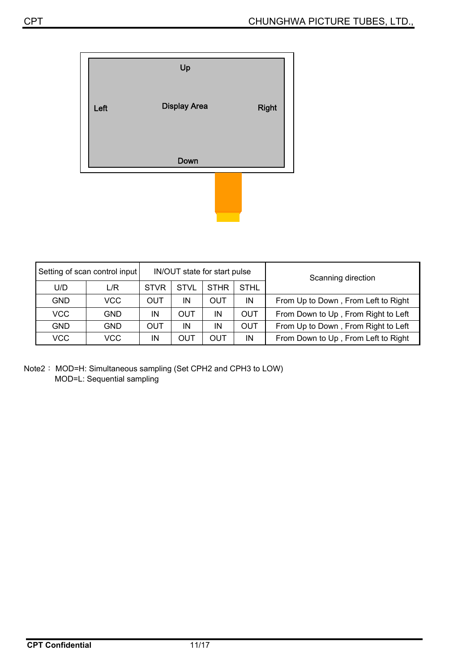

| Setting of scan control input |            | IN/OUT state for start pulse |             |             |             | Scanning direction                  |  |
|-------------------------------|------------|------------------------------|-------------|-------------|-------------|-------------------------------------|--|
| U/D                           | L/R        | <b>STVR</b>                  | <b>STVL</b> | <b>STHR</b> | <b>STHL</b> |                                     |  |
| <b>GND</b>                    | VCC.       | <b>OUT</b>                   | IN          | <b>OUT</b>  | IN          | From Up to Down, From Left to Right |  |
| <b>VCC</b>                    | <b>GND</b> | IN                           | <b>OUT</b>  | IN          | <b>OUT</b>  | From Down to Up, From Right to Left |  |
| <b>GND</b>                    | <b>GND</b> | <b>OUT</b>                   | IN          | IN          | <b>OUT</b>  | From Up to Down, From Right to Left |  |
| <b>VCC</b>                    | <b>VCC</b> | IN                           | OUT         | OUT         | IN          | From Down to Up, From Left to Right |  |

Note2: MOD=H: Simultaneous sampling (Set CPH2 and CPH3 to LOW) MOD=L: Sequential sampling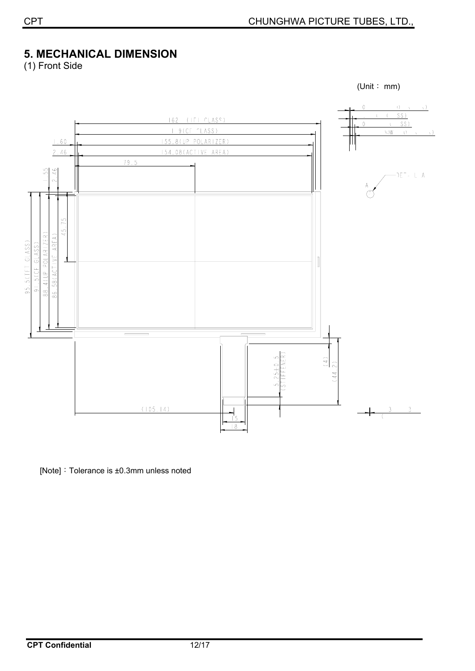# **5.**ʳ**MECHANICAL DIMENSION**

(1) Front Side



[Note]: Tolerance is  $\pm 0.3$ mm unless noted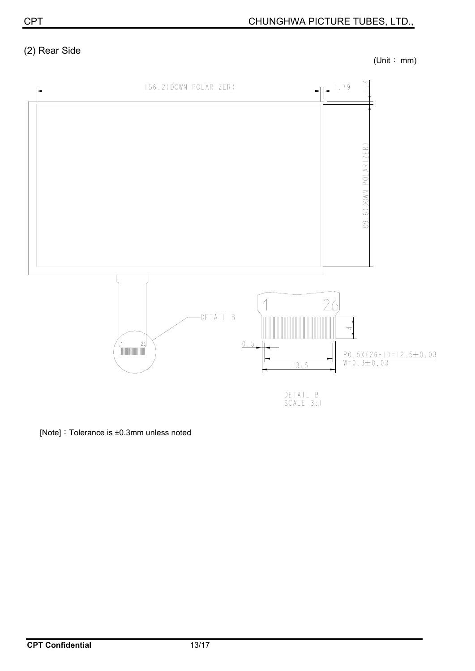# (2) Rear Side

(Unit: mm)



[Note]: Tolerance is  $\pm 0.3$ mm unless noted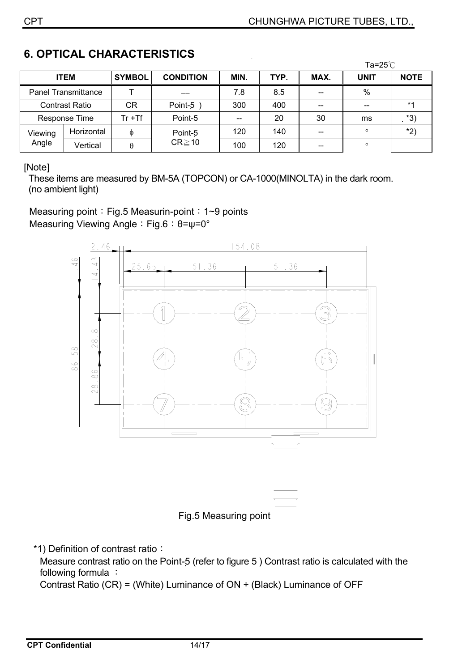|                  |                            |               |                        |      |      |       | Ta=25 $°C$  |             |  |
|------------------|----------------------------|---------------|------------------------|------|------|-------|-------------|-------------|--|
|                  | <b>ITEM</b>                | <b>SYMBOL</b> | <b>CONDITION</b>       | MIN. | TYP. | MAX.  | <b>UNIT</b> | <b>NOTE</b> |  |
|                  | <b>Panel Transmittance</b> |               |                        | 7.8  | 8.5  | --    | %           |             |  |
|                  | <b>Contrast Ratio</b>      | CR            | Point-5                | 300  | 400  | $- -$ |             | $*1$        |  |
|                  | Response Time              | $Tr + Tf$     | Point-5                |      | 20   | 30    | ms          | $*3)$       |  |
| Viewing<br>Angle | Horizontal                 | Φ             | Point-5<br>$CR \ge 10$ | 120  | 140  | $- -$ | $\circ$     | *2)         |  |
|                  | Vertical                   | θ             |                        | 100  | 120  | $- -$ | $\circ$     |             |  |

## **6. OPTICAL CHARACTERISTICS**

[Note]

These items are measured by BM-5A (TOPCON) or CA-1000(MINOLTA) in the dark room. (no ambient light)

Measuring point: Fig.5 Measurin-point:  $1~9$  points Measuring Viewing Angle: Fig.6: θ=ψ=0°





\*1) Definition of contrast ratio:

Measure contrast ratio on the Point-5 (refer to figure 5) Contrast ratio is calculated with the following formula :

Contrast Ratio (CR) = (White) Luminance of  $ON \div$  (Black) Luminance of OFF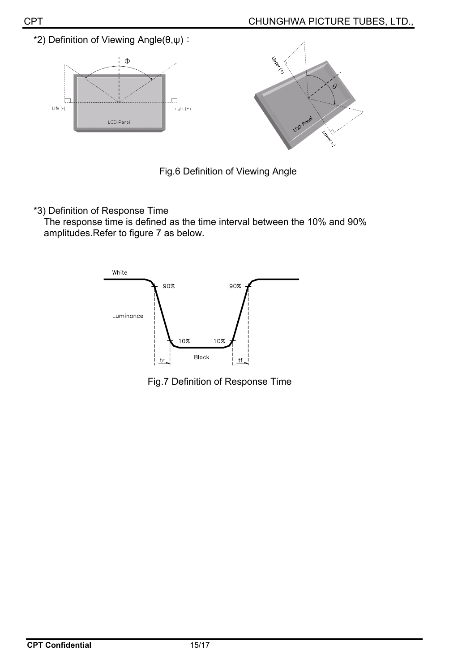CHUNGHWA PICTURE TUBES, LTD.,





\*3) Definition of Response Time

The response time is defined as the time interval between the 10% and 90% amplitudes.Refer to figure 7 as below.



Fig.7 Definition of Response Time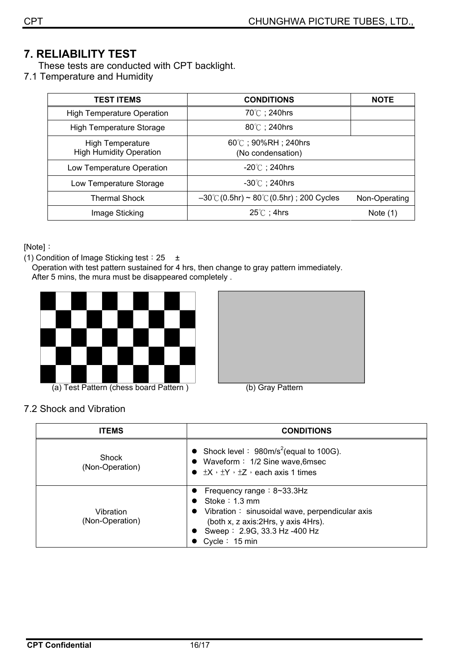# **7. RELIABILITY TEST**

- These tests are conducted with CPT backlight.
- 7.1 Temperature and Humidity

| <b>TEST ITEMS</b>                                         | <b>CONDITIONS</b>                                              | <b>NOTE</b>   |
|-----------------------------------------------------------|----------------------------------------------------------------|---------------|
| <b>High Temperature Operation</b>                         | 70℃; 240hrs                                                    |               |
| <b>High Temperature Storage</b>                           | $80^{\circ}$ C; 240hrs                                         |               |
| <b>High Temperature</b><br><b>High Humidity Operation</b> | $60^{\circ}$ C; 90%RH; 240hrs<br>(No condensation)             |               |
| Low Temperature Operation                                 | $-20^{\circ}$ ; 240hrs                                         |               |
| Low Temperature Storage                                   | $-30^{\circ}$ C ; 240hrs                                       |               |
| <b>Thermal Shock</b>                                      | $-30^{\circ}$ C (0.5hr) ~ 80 $^{\circ}$ C (0.5hr) ; 200 Cycles | Non-Operating |
| Image Sticking                                            | $25^{\circ}$ C; 4hrs                                           | Note $(1)$    |

[Note]:

(1) Condition of Image Sticking test:  $25 \pm$ 

Operation with test pattern sustained for 4 hrs, then change to gray pattern immediately. After 5 mins, the mura must be disappeared completely.







| <b>ITEMS</b>                    | <b>CONDITIONS</b>                                                                                                                                                                                                |  |  |  |
|---------------------------------|------------------------------------------------------------------------------------------------------------------------------------------------------------------------------------------------------------------|--|--|--|
| <b>Shock</b><br>(Non-Operation) | • Shock level : $980 \text{m/s}^2$ (equal to 100G).<br>• Waveform: 1/2 Sine wave, 6msec<br>$\bullet$ $\pm$ X, $\pm$ Y, $\pm$ Z, each axis 1 times                                                                |  |  |  |
| Vibration<br>(Non-Operation)    | • Frequency range : $8 \sim 33.3$ Hz<br>Stoke $: 1.3$ mm<br>Vibration: sinusoidal wave, perpendicular axis<br>$\bullet$<br>(both x, z axis: 2Hrs, y axis 4Hrs).<br>Sweep: 2.9G, 33.3 Hz -400 Hz<br>Cycle: 15 min |  |  |  |